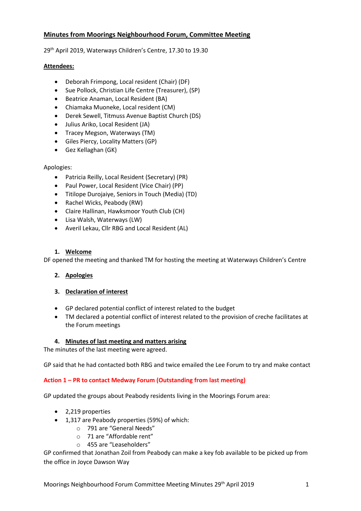# **Minutes from Moorings Neighbourhood Forum, Committee Meeting**

29th April 2019, Waterways Children's Centre, 17.30 to 19.30

## **Attendees:**

- Deborah Frimpong, Local resident (Chair) (DF)
- Sue Pollock, Christian Life Centre (Treasurer), (SP)
- Beatrice Anaman, Local Resident (BA)
- Chiamaka Muoneke, Local resident (CM)
- Derek Sewell, Titmuss Avenue Baptist Church (DS)
- Julius Ariko, Local Resident (JA)
- Tracey Megson, Waterways (TM)
- Giles Piercy, Locality Matters (GP)
- Gez Kellaghan (GK)

## Apologies:

- Patricia Reilly, Local Resident (Secretary) (PR)
- Paul Power, Local Resident (Vice Chair) (PP)
- Titilope Durojaiye, Seniors in Touch (Media) (TD)
- Rachel Wicks, Peabody (RW)
- Claire Hallinan, Hawksmoor Youth Club (CH)
- Lisa Walsh, Waterways (LW)
- Averil Lekau, Cllr RBG and Local Resident (AL)

# **1. Welcome**

DF opened the meeting and thanked TM for hosting the meeting at Waterways Children's Centre

# **2. Apologies**

# **3. Declaration of interest**

- GP declared potential conflict of interest related to the budget
- TM declared a potential conflict of interest related to the provision of creche facilitates at the Forum meetings

# **4. Minutes of last meeting and matters arising**

The minutes of the last meeting were agreed.

GP said that he had contacted both RBG and twice emailed the Lee Forum to try and make contact

# **Action 1 – PR to contact Medway Forum (Outstanding from last meeting)**

GP updated the groups about Peabody residents living in the Moorings Forum area:

- 2,219 properties
- 1,317 are Peabody properties (59%) of which:
	- o 791 are "General Needs"
	- o 71 are "Affordable rent"
	- o 455 are "Leaseholders"

GP confirmed that Jonathan Zoil from Peabody can make a key fob available to be picked up from the office in Joyce Dawson Way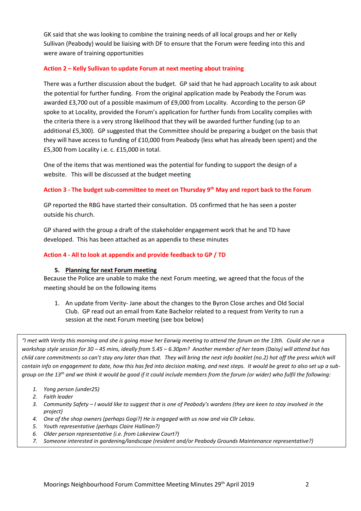GK said that she was looking to combine the training needs of all local groups and her or Kelly Sullivan (Peabody) would be liaising with DF to ensure that the Forum were feeding into this and were aware of training opportunities

## **Action 2 – Kelly Sullivan to update Forum at next meeting about training**

There was a further discussion about the budget. GP said that he had approach Locality to ask about the potential for further funding. From the original application made by Peabody the Forum was awarded £3,700 out of a possible maximum of £9,000 from Locality. According to the person GP spoke to at Locality, provided the Forum's application for further funds from Locality complies with the criteria there is a very strong likelihood that they will be awarded further funding (up to an additional £5,300). GP suggested that the Committee should be preparing a budget on the basis that they will have access to funding of £10,000 from Peabody (less what has already been spent) and the £5,300 from Locality i.e. c. £15,000 in total.

One of the items that was mentioned was the potential for funding to support the design of a website. This will be discussed at the budget meeting

## **Action 3 - The budget sub-committee to meet on Thursday 9th May and report back to the Forum**

GP reported the RBG have started their consultation. DS confirmed that he has seen a poster outside his church.

GP shared with the group a draft of the stakeholder engagement work that he and TD have developed. This has been attached as an appendix to these minutes

## **Action 4 - All to look at appendix and provide feedback to GP / TD**

## **5. Planning for next Forum meeting**

Because the Police are unable to make the next Forum meeting, we agreed that the focus of the meeting should be on the following items

1. An update from Verity- Jane about the changes to the Byron Close arches and Old Social Club. GP read out an email from Kate Bachelor related to a request from Verity to run a session at the next Forum meeting (see box below)

*"I met with Verity this morning and she is going move her Earwig meeting to attend the forum on the 13th. Could she run a workshop style session for 30 – 45 mins, ideally from 5.45 – 6.30pm? Another member of her team (Daisy) will attend but has child care commitments so can't stay any later than that. They will bring the next info booklet (no.2) hot off the press which will contain info on engagement to date, how this has fed into decision making, and next steps. It would be great to also set up a subgroup on the 13th and we think it would be good if it could include members from the forum (or wider) who fulfil the following:*

- *1. Yong person (under25)*
- *2. Faith leader*
- *3. Community Safety – I would like to suggest that is one of Peabody's wardens (they are keen to stay involved in the project)*
- *4. One of the shop owners (perhaps Gogi?) He is engaged with us now and via Cllr Lekau.*
- *5. Youth representative (perhaps Claire Hallinan?)*
- *6. Older person representative (i.e. from Lakeview Court?)*
- *7. Someone interested in gardening/landscape (resident and/or Peabody Grounds Maintenance representative?)*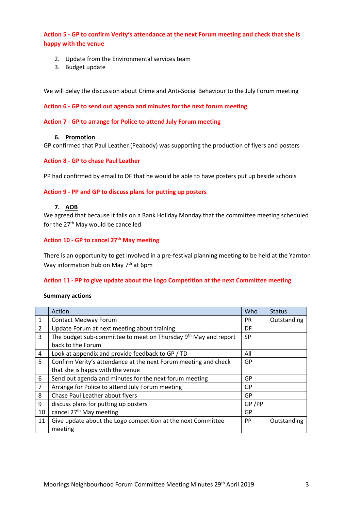**Action 5 - GP to confirm Verity's attendance at the next Forum meeting and check that she is happy with the venue**

- 2. Update from the Environmental services team
- 3. Budget update

We will delay the discussion about Crime and Anti-Social Behaviour to the July Forum meeting

### **Action 6 - GP to send out agenda and minutes for the next forum meeting**

#### **Action 7 - GP to arrange for Police to attend July Forum meeting**

#### **6. Promotion**

GP confirmed that Paul Leather (Peabody) was supporting the production of flyers and posters

## **Action 8 - GP to chase Paul Leather**

PP had confirmed by email to DF that he would be able to have posters put up beside schools

## **Action 9 - PP and GP to discuss plans for putting up posters**

#### **7. AOB**

We agreed that because it falls on a Bank Holiday Monday that the committee meeting scheduled for the 27<sup>th</sup> May would be cancelled

## **Action 10 - GP to cancel 27th May meeting**

There is an opportunity to get involved in a pre-festival planning meeting to be held at the Yarnton Way information hub on May 7<sup>th</sup> at 6pm

#### **Action 11 - PP to give update about the Logo Competition at the next Committee meeting**

#### **Summary actions**

|    | Action                                                                      | Who       | <b>Status</b> |
|----|-----------------------------------------------------------------------------|-----------|---------------|
| 1  | <b>Contact Medway Forum</b>                                                 | PR.       | Outstanding   |
| 2  | Update Forum at next meeting about training                                 | DF        |               |
| 3  | The budget sub-committee to meet on Thursday 9 <sup>th</sup> May and report | <b>SP</b> |               |
|    | back to the Forum                                                           |           |               |
| 4  | Look at appendix and provide feedback to GP / TD                            | All       |               |
| 5. | Confirm Verity's attendance at the next Forum meeting and check             | GP        |               |
|    | that she is happy with the venue                                            |           |               |
| 6  | Send out agenda and minutes for the next forum meeting                      | GP        |               |
| 7  | Arrange for Police to attend July Forum meeting                             | GP        |               |
| 8  | Chase Paul Leather about flyers                                             | GP        |               |
| 9  | discuss plans for putting up posters                                        | GP/PP     |               |
| 10 | cancel 27 <sup>th</sup> May meeting                                         | GP        |               |
| 11 | Give update about the Logo competition at the next Committee                | <b>PP</b> | Outstanding   |
|    | meeting                                                                     |           |               |